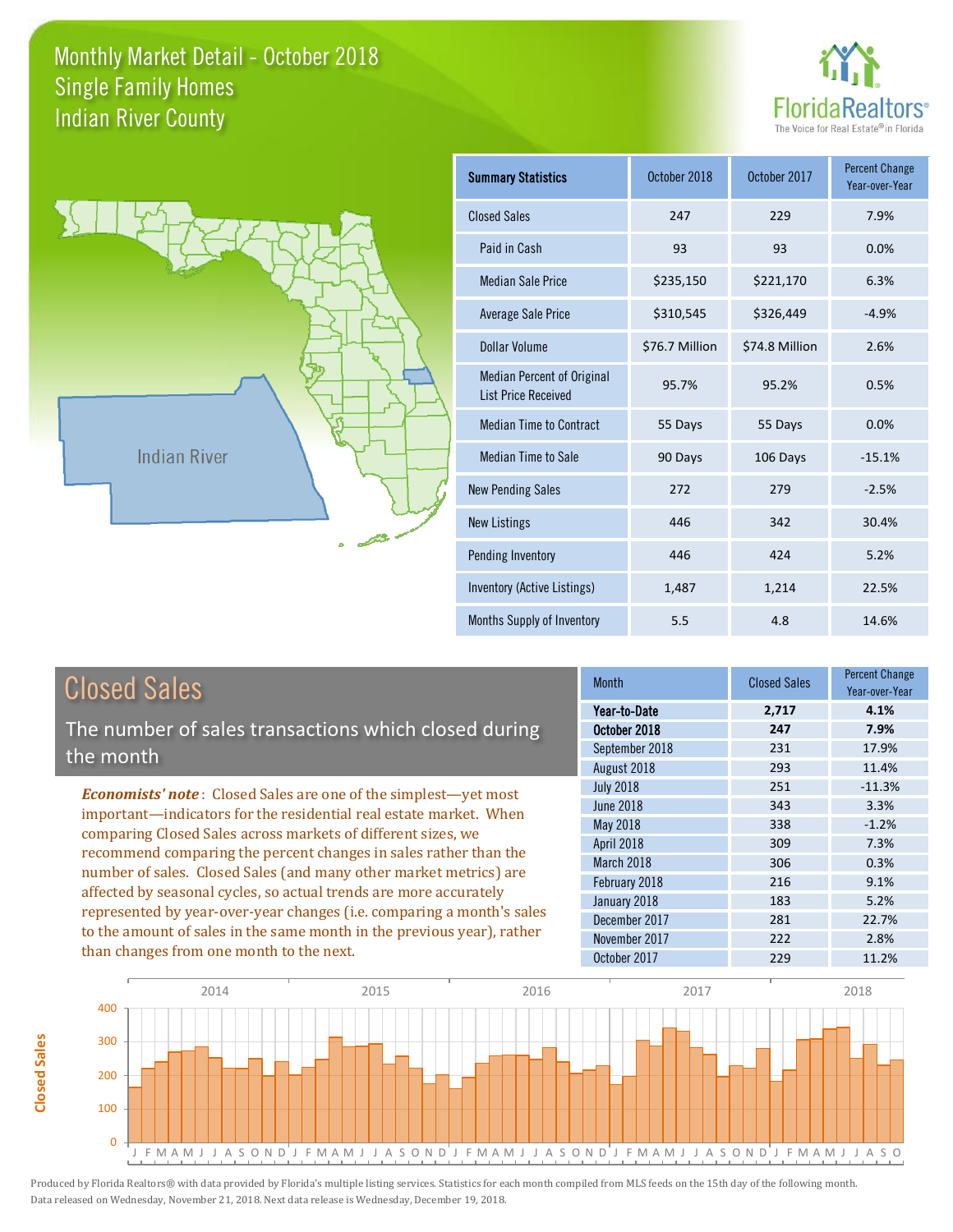**Closed Sales**

**Closed Sales** 



Year-over-Year

-15.1%



| <b>Closed Sales</b>                                                                                                                                                                                                                                                                                                                                                                                                           | <b>Month</b>     | <b>Closed Sales</b> | <b>Percent Change</b><br>Year-over-Year |
|-------------------------------------------------------------------------------------------------------------------------------------------------------------------------------------------------------------------------------------------------------------------------------------------------------------------------------------------------------------------------------------------------------------------------------|------------------|---------------------|-----------------------------------------|
|                                                                                                                                                                                                                                                                                                                                                                                                                               | Year-to-Date     | 2,717               | 4.1%                                    |
| The number of sales transactions which closed during                                                                                                                                                                                                                                                                                                                                                                          | October 2018     | 247                 | 7.9%                                    |
| the month                                                                                                                                                                                                                                                                                                                                                                                                                     | September 2018   | 231                 | 17.9%                                   |
|                                                                                                                                                                                                                                                                                                                                                                                                                               | August 2018      | 293                 | 11.4%                                   |
| <b>Economists' note:</b> Closed Sales are one of the simplest—yet most                                                                                                                                                                                                                                                                                                                                                        | <b>July 2018</b> | 251                 | $-11.3%$                                |
| important—indicators for the residential real estate market. When                                                                                                                                                                                                                                                                                                                                                             | June 2018        | 343                 | 3.3%                                    |
| comparing Closed Sales across markets of different sizes, we<br>recommend comparing the percent changes in sales rather than the<br>number of sales. Closed Sales (and many other market metrics) are<br>affected by seasonal cycles, so actual trends are more accurately<br>represented by year-over-year changes (i.e. comparing a month's sales<br>to the amount of sales in the same month in the previous year), rather | May 2018         | 338                 | $-1.2%$                                 |
|                                                                                                                                                                                                                                                                                                                                                                                                                               | April 2018       | 309                 | 7.3%                                    |
|                                                                                                                                                                                                                                                                                                                                                                                                                               | March 2018       | 306                 | 0.3%                                    |
|                                                                                                                                                                                                                                                                                                                                                                                                                               | February 2018    | 216                 | 9.1%                                    |
|                                                                                                                                                                                                                                                                                                                                                                                                                               | January 2018     | 183                 | 5.2%                                    |
|                                                                                                                                                                                                                                                                                                                                                                                                                               | December 2017    | 281                 | 22.7%                                   |
|                                                                                                                                                                                                                                                                                                                                                                                                                               | November 2017    | 222                 | 2.8%                                    |
| than changes from one month to the next.                                                                                                                                                                                                                                                                                                                                                                                      | October 2017     | 229                 | 11.2%                                   |
|                                                                                                                                                                                                                                                                                                                                                                                                                               |                  |                     |                                         |

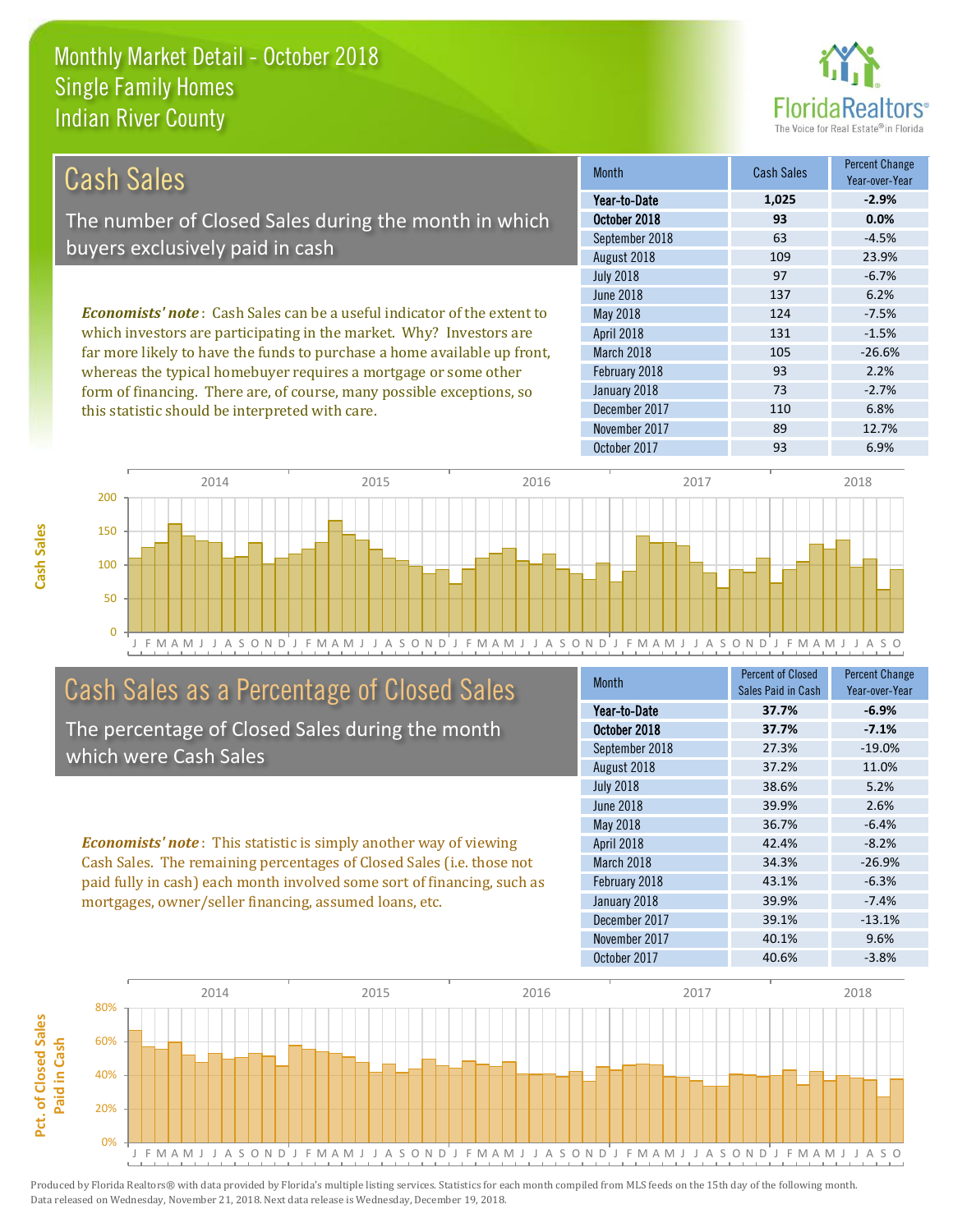this statistic should be interpreted with care.



110 6.8%

| Cash Sales                                                                     | <b>Month</b>      | <b>Cash Sales</b> | <b>Percent Change</b><br>Year-over-Year |
|--------------------------------------------------------------------------------|-------------------|-------------------|-----------------------------------------|
|                                                                                | Year-to-Date      | 1,025             | $-2.9%$                                 |
| The number of Closed Sales during the month in which                           | October 2018      | 93                | 0.0%                                    |
|                                                                                | September 2018    | 63                | $-4.5%$                                 |
| buyers exclusively paid in cash                                                | August 2018       | 109               | 23.9%                                   |
|                                                                                | <b>July 2018</b>  | 97                | $-6.7%$                                 |
|                                                                                | June 2018         | 137               | 6.2%                                    |
| <b>Economists' note:</b> Cash Sales can be a useful indicator of the extent to | May 2018          | 124               | $-7.5%$                                 |
| which investors are participating in the market. Why? Investors are            | <b>April 2018</b> | 131               | $-1.5%$                                 |
| far more likely to have the funds to purchase a home available up front,       | March 2018        | 105               | $-26.6%$                                |
| whereas the typical homebuyer requires a mortgage or some other                | February 2018     | 93                | 2.2%                                    |
| form of financing. There are, of course, many possible exceptions, so          | January 2018      | 73                | $-2.7%$                                 |

December 2017



### Cash Sales as a Percentage of Closed Sales

The percentage of Closed Sales during the month which were Cash Sales

*Economists' note* : This statistic is simply another way of viewing Cash Sales. The remaining percentages of Closed Sales (i.e. those not paid fully in cash) each month involved some sort of financing, such as mortgages, owner/seller financing, assumed loans, etc.

| <b>Month</b>     | <b>Percent of Closed</b> | <b>Percent Change</b> |
|------------------|--------------------------|-----------------------|
|                  | Sales Paid in Cash       | Year-over-Year        |
| Year-to-Date     | 37.7%                    | $-6.9%$               |
| October 2018     | 37.7%                    | $-7.1%$               |
| September 2018   | 27.3%                    | $-19.0%$              |
| August 2018      | 37.2%                    | 11.0%                 |
| <b>July 2018</b> | 38.6%                    | 5.2%                  |
| <b>June 2018</b> | 39.9%                    | 2.6%                  |
| <b>May 2018</b>  | 36.7%                    | $-6.4%$               |
| April 2018       | 42.4%                    | $-8.2%$               |
| March 2018       | 34.3%                    | $-26.9%$              |
| February 2018    | 43.1%                    | $-6.3%$               |
| January 2018     | 39.9%                    | $-7.4%$               |
| December 2017    | 39.1%                    | $-13.1%$              |
| November 2017    | 40.1%                    | 9.6%                  |
| October 2017     | 40.6%                    | $-3.8%$               |

November 2017 89 12.7%

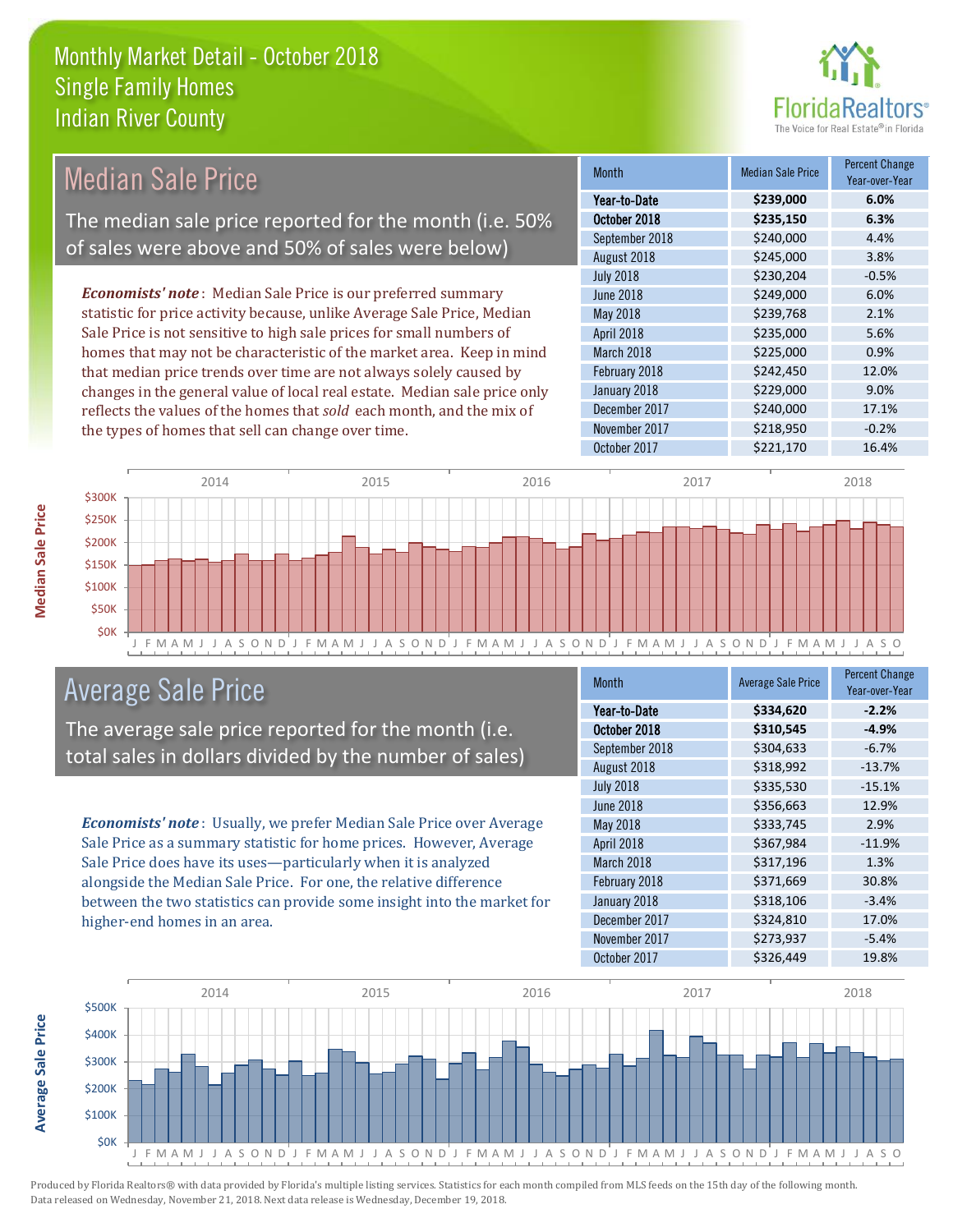

| Median Sale Price                                                         | <b>Month</b>      | <b>Median Sale Price</b> | <b>Percent Change</b><br>Year-over-Year |
|---------------------------------------------------------------------------|-------------------|--------------------------|-----------------------------------------|
|                                                                           | Year-to-Date      | \$239,000                | 6.0%                                    |
| The median sale price reported for the month (i.e. 50%                    | October 2018      | \$235,150                | 6.3%                                    |
|                                                                           | September 2018    | \$240,000                | 4.4%                                    |
| of sales were above and 50% of sales were below)                          | August 2018       | \$245,000                | 3.8%                                    |
|                                                                           | <b>July 2018</b>  | \$230,204                | $-0.5%$                                 |
| <b>Economists' note:</b> Median Sale Price is our preferred summary       | June 2018         | \$249,000                | 6.0%                                    |
| statistic for price activity because, unlike Average Sale Price, Median   | May 2018          | \$239,768                | 2.1%                                    |
| Sale Price is not sensitive to high sale prices for small numbers of      | <b>April 2018</b> | \$235,000                | 5.6%                                    |
| homes that may not be characteristic of the market area. Keep in mind     | March 2018        | \$225,000                | 0.9%                                    |
| that median price trends over time are not always solely caused by        | February 2018     | \$242,450                | 12.0%                                   |
| changes in the general value of local real estate. Median sale price only | January 2018      | \$229,000                | 9.0%                                    |

J F M A M J J A S O N D J F M A M J J A S O N D J F M A M J J A S O N D J F M A M J J A S O N D J F M A M J J A S O \$0K \$50K \$100K \$150K \$200K \$250K \$300K 2014 2015 2016 2016 2017 2018

### Average Sale Price

The average sale price reported for the month (i.e. total sales in dollars divided by the number of sales)

reflects the values of the homes that *sold* each month, and the mix of

the types of homes that sell can change over time.

*Economists' note* : Usually, we prefer Median Sale Price over Average Sale Price as a summary statistic for home prices. However, Average Sale Price does have its uses—particularly when it is analyzed alongside the Median Sale Price. For one, the relative difference between the two statistics can provide some insight into the market for higher-end homes in an area.

| <b>Month</b>     | <b>Average Sale Price</b> | <b>Percent Change</b><br>Year-over-Year |
|------------------|---------------------------|-----------------------------------------|
| Year-to-Date     | \$334,620                 | $-2.2%$                                 |
| October 2018     | \$310,545                 | $-4.9%$                                 |
| September 2018   | \$304,633                 | $-6.7%$                                 |
| August 2018      | \$318,992                 | $-13.7%$                                |
| <b>July 2018</b> | \$335,530                 | $-15.1%$                                |
| <b>June 2018</b> | \$356,663                 | 12.9%                                   |
| May 2018         | \$333,745                 | 2.9%                                    |
| April 2018       | \$367,984                 | $-11.9%$                                |
| March 2018       | \$317,196                 | 1.3%                                    |
| February 2018    | \$371,669                 | 30.8%                                   |
| January 2018     | \$318,106                 | $-3.4%$                                 |
| December 2017    | \$324,810                 | 17.0%                                   |
| November 2017    | \$273,937                 | $-5.4%$                                 |
| October 2017     | \$326,449                 | 19.8%                                   |

December 2017 \$240,000 17.1% November 2017 **\$218,950** -0.2% October 2017 **\$221,170** \$201,170



Produced by Florida Realtors® with data provided by Florida's multiple listing services. Statistics for each month compiled from MLS feeds on the 15th day of the following month. Data released on Wednesday, November 21, 2018. Next data release is Wednesday, December 19, 2018.

**Average Sale Price**

**Average Sale Price**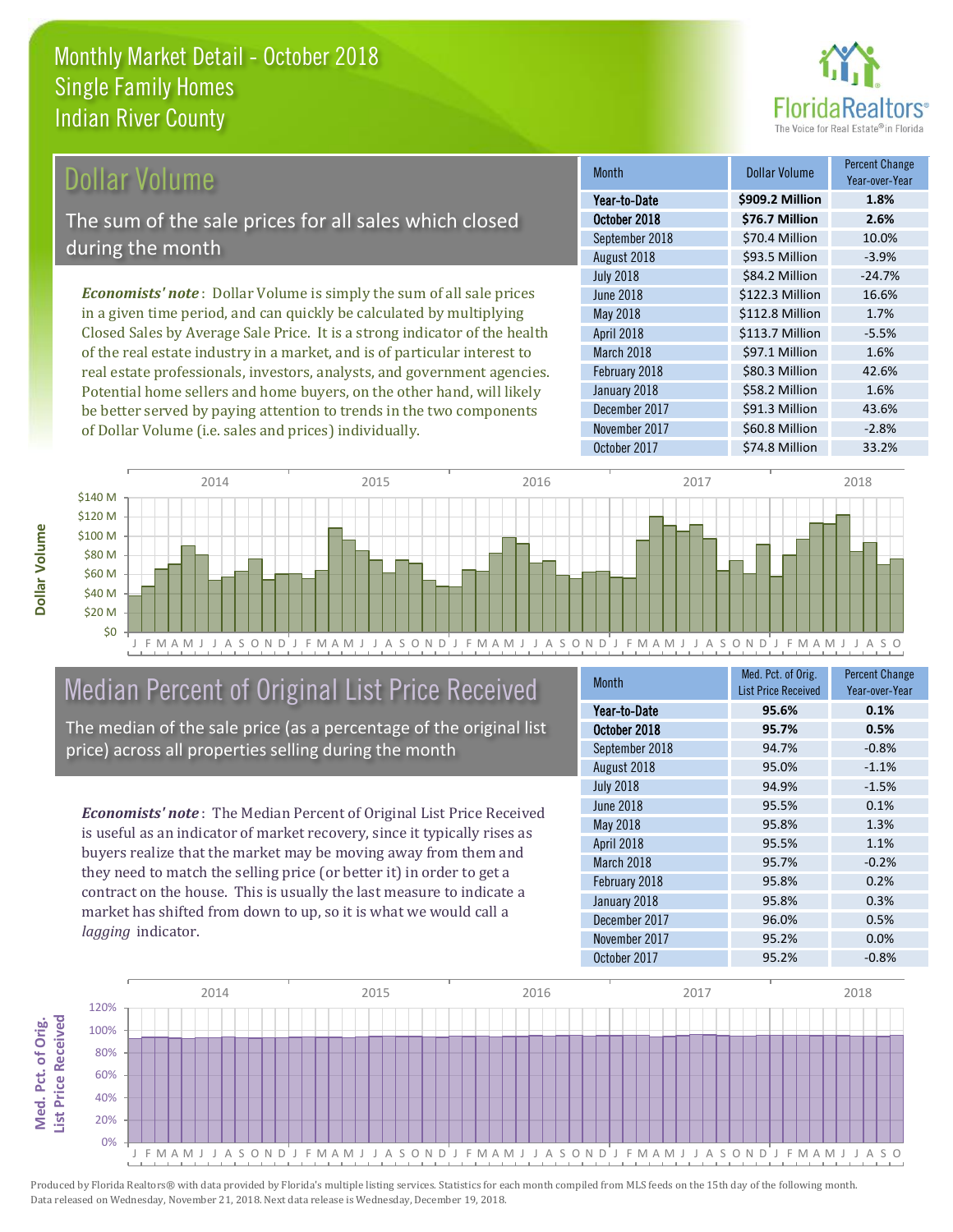

### Dollar Volume

The sum of the sale prices for all sales which closed during the month

*Economists' note* : Dollar Volume is simply the sum of all sale prices in a given time period, and can quickly be calculated by multiplying Closed Sales by Average Sale Price. It is a strong indicator of the health of the real estate industry in a market, and is of particular interest to real estate professionals, investors, analysts, and government agencies. Potential home sellers and home buyers, on the other hand, will likely be better served by paying attention to trends in the two components of Dollar Volume (i.e. sales and prices) individually.

| <b>Month</b>     | <b>Dollar Volume</b> | Percent Change<br>Year-over-Year |
|------------------|----------------------|----------------------------------|
| Year-to-Date     | \$909.2 Million      | 1.8%                             |
| October 2018     | \$76.7 Million       | 2.6%                             |
| September 2018   | \$70.4 Million       | 10.0%                            |
| August 2018      | \$93.5 Million       | $-3.9%$                          |
| <b>July 2018</b> | \$84.2 Million       | $-24.7%$                         |
| <b>June 2018</b> | \$122.3 Million      | 16.6%                            |
| May 2018         | \$112.8 Million      | 1.7%                             |
| April 2018       | \$113.7 Million      | $-5.5%$                          |
| March 2018       | \$97.1 Million       | 1.6%                             |
| February 2018    | \$80.3 Million       | 42.6%                            |
| January 2018     | \$58.2 Million       | 1.6%                             |
| December 2017    | \$91.3 Million       | 43.6%                            |
| November 2017    | \$60.8 Million       | $-2.8%$                          |
| October 2017     | \$74.8 Million       | 33.2%                            |



### Median Percent of Original List Price Received

The median of the sale price (as a percentage of the original list price) across all properties selling during the month

*Economists' note* : The Median Percent of Original List Price Received is useful as an indicator of market recovery, since it typically rises as buyers realize that the market may be moving away from them and they need to match the selling price (or better it) in order to get a contract on the house. This is usually the last measure to indicate a market has shifted from down to up, so it is what we would call a *lagging* indicator.

| <b>Month</b>     | Med. Pct. of Orig.         | <b>Percent Change</b> |
|------------------|----------------------------|-----------------------|
|                  | <b>List Price Received</b> | Year-over-Year        |
| Year-to-Date     | 95.6%                      | 0.1%                  |
| October 2018     | 95.7%                      | 0.5%                  |
| September 2018   | 94.7%                      | $-0.8%$               |
| August 2018      | 95.0%                      | $-1.1%$               |
| <b>July 2018</b> | 94.9%                      | $-1.5%$               |
| <b>June 2018</b> | 95.5%                      | 0.1%                  |
| May 2018         | 95.8%                      | 1.3%                  |
| April 2018       | 95.5%                      | 1.1%                  |
| March 2018       | 95.7%                      | $-0.2%$               |
| February 2018    | 95.8%                      | 0.2%                  |
| January 2018     | 95.8%                      | 0.3%                  |
| December 2017    | 96.0%                      | 0.5%                  |
| November 2017    | 95.2%                      | 0.0%                  |
| October 2017     | 95.2%                      | $-0.8%$               |



Produced by Florida Realtors® with data provided by Florida's multiple listing services. Statistics for each month compiled from MLS feeds on the 15th day of the following month. Data released on Wednesday, November 21, 2018. Next data release is Wednesday, December 19, 2018.

**Med. Pct. of Orig.** 

Med. Pct. of Orig.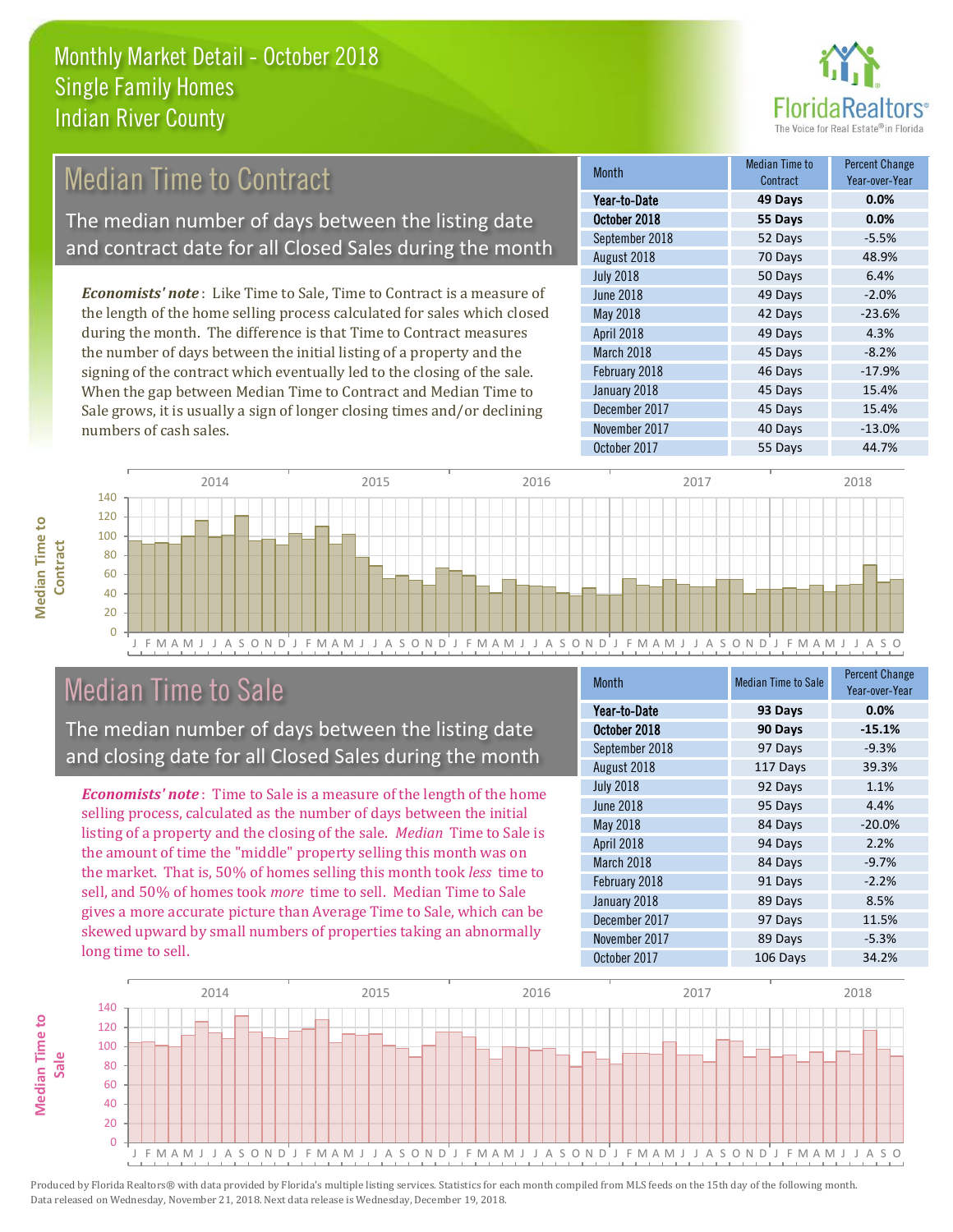

#### 70 Days 48.9% July 2018 **6.4%** 50 Days 6.4% Month Month Median Time to Contract Percent Change Voor-over-Ver October 2018 **55 Days 0.0%** Year-to-Date **49 Days 0.0%** September 2018 **52 Days** 52 **Days** August 2018 April 2018 **49 Days** 4.3% March 2018 **45 Days** -8.2% June 2018 49 Days -2.0% May 2018 **42 Days** -23.6% *Economists' note* : Like Time to Sale, Time to Contract is a measure of the length of the home selling process calculated for sales which closed during the month. The difference is that Time to Contract measures the number of days between the initial listing of a property and the Median Time to Contract The median number of days between the listing date and contract date for all Closed Sales during the month

signing of the contract which eventually led to the closing of the sale. When the gap between Median Time to Contract and Median Time to Sale grows, it is usually a sign of longer closing times and/or declining numbers of cash sales.

| Year-to-Date     | 49 Days | 0.0%     |
|------------------|---------|----------|
| October 2018     | 55 Days | 0.0%     |
| September 2018   | 52 Days | $-5.5%$  |
| August 2018      | 70 Days | 48.9%    |
| <b>July 2018</b> | 50 Days | 6.4%     |
| <b>June 2018</b> | 49 Days | $-2.0%$  |
| May 2018         | 42 Days | $-23.6%$ |
| April 2018       | 49 Days | 4.3%     |
| March 2018       | 45 Days | $-8.2%$  |
| February 2018    | 46 Days | $-17.9%$ |
| January 2018     | 45 Days | 15.4%    |
| December 2017    | 45 Days | 15.4%    |
| November 2017    | 40 Days | $-13.0%$ |
| October 2017     | 55 Days | 44.7%    |



### Median Time to Sale

**Median Time to** 

**Median Time to** 

The median number of days between the listing date and closing date for all Closed Sales during the month

*Economists' note* : Time to Sale is a measure of the length of the home selling process, calculated as the number of days between the initial listing of a property and the closing of the sale. *Median* Time to Sale is the amount of time the "middle" property selling this month was on the market. That is, 50% of homes selling this month took *less* time to sell, and 50% of homes took *more* time to sell. Median Time to Sale gives a more accurate picture than Average Time to Sale, which can be skewed upward by small numbers of properties taking an abnormally long time to sell.

| <b>Month</b>     | <b>Median Time to Sale</b> | <b>Percent Change</b><br>Year-over-Year |
|------------------|----------------------------|-----------------------------------------|
| Year-to-Date     | 93 Days                    | 0.0%                                    |
| October 2018     | 90 Days                    | $-15.1%$                                |
| September 2018   | 97 Days                    | $-9.3%$                                 |
| August 2018      | 117 Days                   | 39.3%                                   |
| <b>July 2018</b> | 92 Days                    | 1.1%                                    |
| <b>June 2018</b> | 95 Days                    | 4.4%                                    |
| May 2018         | 84 Days                    | $-20.0%$                                |
| April 2018       | 94 Days                    | 2.2%                                    |
| March 2018       | 84 Days                    | $-9.7%$                                 |
| February 2018    | 91 Days                    | $-2.2%$                                 |
| January 2018     | 89 Days                    | 8.5%                                    |
| December 2017    | 97 Days                    | 11.5%                                   |
| November 2017    | 89 Days                    | $-5.3%$                                 |
| October 2017     | 106 Days                   | 34.2%                                   |

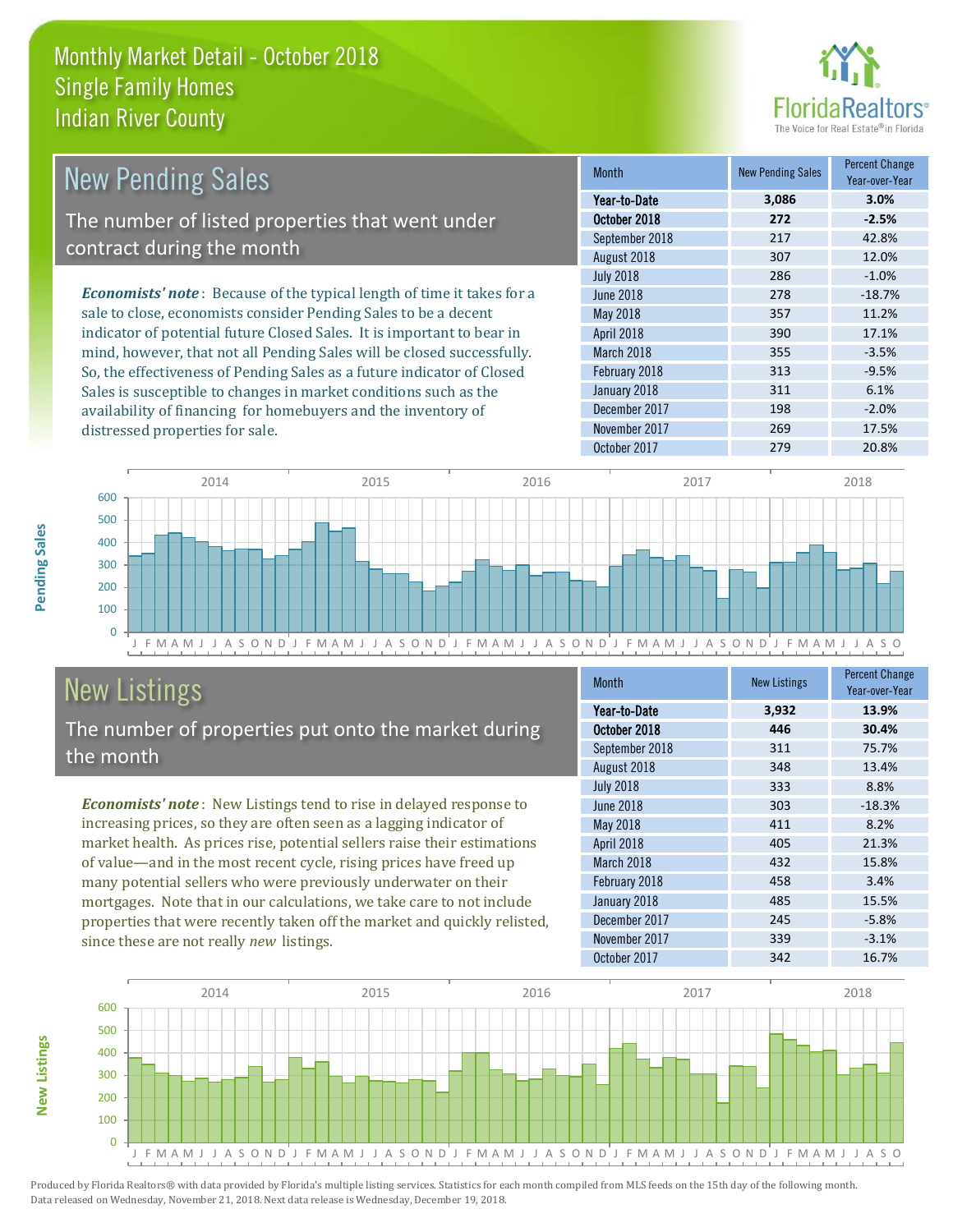

| <b>New Pending Sales</b>                                                      | <b>Month</b>      | <b>New Pending Sales</b> | <b>Percent Change</b><br>Year-over-Year |
|-------------------------------------------------------------------------------|-------------------|--------------------------|-----------------------------------------|
|                                                                               | Year-to-Date      | 3,086                    | 3.0%                                    |
| The number of listed properties that went under                               | October 2018      | 272                      | $-2.5%$                                 |
|                                                                               | September 2018    | 217                      | 42.8%                                   |
| contract during the month                                                     | August 2018       | 307                      | 12.0%                                   |
|                                                                               | <b>July 2018</b>  | 286                      | $-1.0%$                                 |
| <b>Economists' note:</b> Because of the typical length of time it takes for a | June 2018         | 278                      | $-18.7%$                                |
| sale to close, economists consider Pending Sales to be a decent               | May 2018          | 357                      | 11.2%                                   |
| indicator of potential future Closed Sales. It is important to bear in        | <b>April 2018</b> | 390                      | 17.1%                                   |
| mind, however, that not all Pending Sales will be closed successfully.        | March 2018        | 355                      | $-3.5%$                                 |
| So, the effectiveness of Pending Sales as a future indicator of Closed        | February 2018     | 313                      | $-9.5%$                                 |
| Sales is susceptible to changes in market conditions such as the              | January 2018      | 311                      | 6.1%                                    |
| availability of financing for homebuyers and the inventory of                 | December 2017     | 198                      | $-2.0%$                                 |



## New Listings

distressed properties for sale.

The number of properties put onto the market during the month

*Economists' note* : New Listings tend to rise in delayed response to increasing prices, so they are often seen as a lagging indicator of market health. As prices rise, potential sellers raise their estimations of value—and in the most recent cycle, rising prices have freed up many potential sellers who were previously underwater on their mortgages. Note that in our calculations, we take care to not include properties that were recently taken off the market and quickly relisted, since these are not really *new* listings.

| <b>Month</b>     | <b>New Listings</b> | <b>Percent Change</b><br>Year-over-Year |
|------------------|---------------------|-----------------------------------------|
| Year-to-Date     | 3,932               | 13.9%                                   |
| October 2018     | 446                 | 30.4%                                   |
| September 2018   | 311                 | 75.7%                                   |
| August 2018      | 348                 | 13.4%                                   |
| <b>July 2018</b> | 333                 | 8.8%                                    |
| <b>June 2018</b> | 303                 | $-18.3%$                                |
| May 2018         | 411                 | 8.2%                                    |
| April 2018       | 405                 | 21.3%                                   |
| March 2018       | 432                 | 15.8%                                   |
| February 2018    | 458                 | 3.4%                                    |
| January 2018     | 485                 | 15.5%                                   |
| December 2017    | 245                 | $-5.8%$                                 |
| November 2017    | 339                 | $-3.1%$                                 |
| October 2017     | 342                 | 16.7%                                   |

November 2017 17.5%



Produced by Florida Realtors® with data provided by Florida's multiple listing services. Statistics for each month compiled from MLS feeds on the 15th day of the following month. Data released on Wednesday, November 21, 2018. Next data release is Wednesday, December 19, 2018.

**New Listings**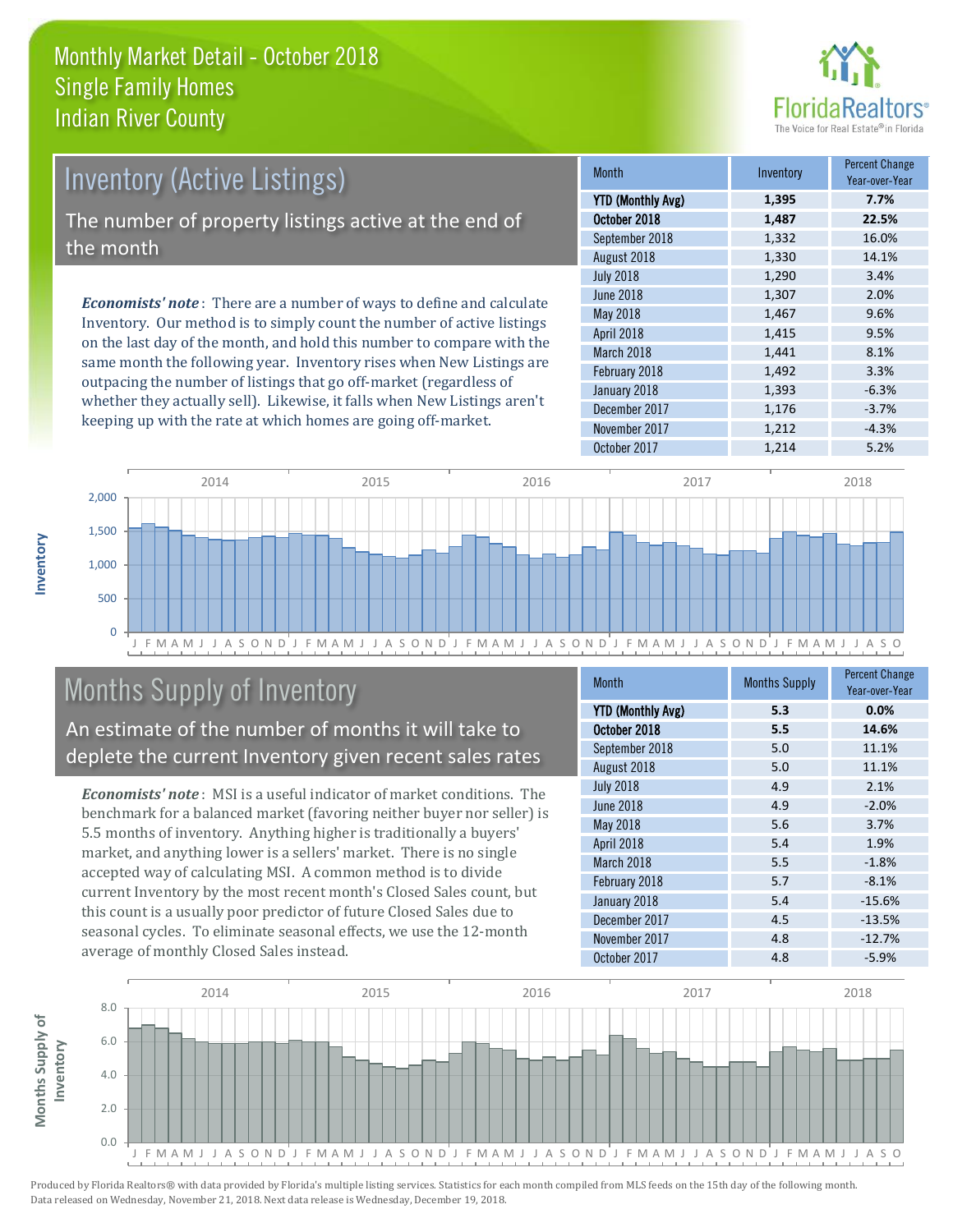

### *Economists' note* : There are a number of ways to define and calculate Inventory (Active Listings) The number of property listings active at the end of the month

Inventory. Our method is to simply count the number of active listings on the last day of the month, and hold this number to compare with the same month the following year. Inventory rises when New Listings are outpacing the number of listings that go off-market (regardless of whether they actually sell). Likewise, it falls when New Listings aren't keeping up with the rate at which homes are going off-market.

| <b>Month</b>             | Inventory | <b>Percent Change</b><br>Year-over-Year |
|--------------------------|-----------|-----------------------------------------|
| <b>YTD (Monthly Avg)</b> | 1,395     | 7.7%                                    |
| October 2018             | 1,487     | 22.5%                                   |
| September 2018           | 1,332     | 16.0%                                   |
| August 2018              | 1,330     | 14.1%                                   |
| <b>July 2018</b>         | 1,290     | 3.4%                                    |
| June 2018                | 1,307     | 2.0%                                    |
| <b>May 2018</b>          | 1,467     | 9.6%                                    |
| April 2018               | 1,415     | 9.5%                                    |
| March 2018               | 1,441     | 8.1%                                    |
| February 2018            | 1,492     | 3.3%                                    |
| January 2018             | 1,393     | $-6.3%$                                 |
| December 2017            | 1,176     | $-3.7%$                                 |
| November 2017            | 1,212     | $-4.3%$                                 |
| October 2017             | 1,214     | 5.2%                                    |



### Months Supply of Inventory

An estimate of the number of months it will take to deplete the current Inventory given recent sales rates

*Economists' note* : MSI is a useful indicator of market conditions. The benchmark for a balanced market (favoring neither buyer nor seller) is 5.5 months of inventory. Anything higher is traditionally a buyers' market, and anything lower is a sellers' market. There is no single accepted way of calculating MSI. A common method is to divide current Inventory by the most recent month's Closed Sales count, but this count is a usually poor predictor of future Closed Sales due to seasonal cycles. To eliminate seasonal effects, we use the 12-month average of monthly Closed Sales instead.

| <b>Month</b>             | <b>Months Supply</b> | <b>Percent Change</b><br>Year-over-Year |
|--------------------------|----------------------|-----------------------------------------|
| <b>YTD (Monthly Avg)</b> | 5.3                  | 0.0%                                    |
| October 2018             | 5.5                  | 14.6%                                   |
| September 2018           | 5.0                  | 11.1%                                   |
| August 2018              | 5.0                  | 11.1%                                   |
| <b>July 2018</b>         | 4.9                  | 2.1%                                    |
| <b>June 2018</b>         | 4.9                  | $-2.0%$                                 |
| May 2018                 | 5.6                  | 3.7%                                    |
| April 2018               | 5.4                  | 1.9%                                    |
| March 2018               | 5.5                  | $-1.8%$                                 |
| February 2018            | 5.7                  | $-8.1%$                                 |
| January 2018             | 5.4                  | $-15.6%$                                |
| December 2017            | 4.5                  | $-13.5%$                                |
| November 2017            | 4.8                  | $-12.7%$                                |
| October 2017             | 4.8                  | $-5.9%$                                 |

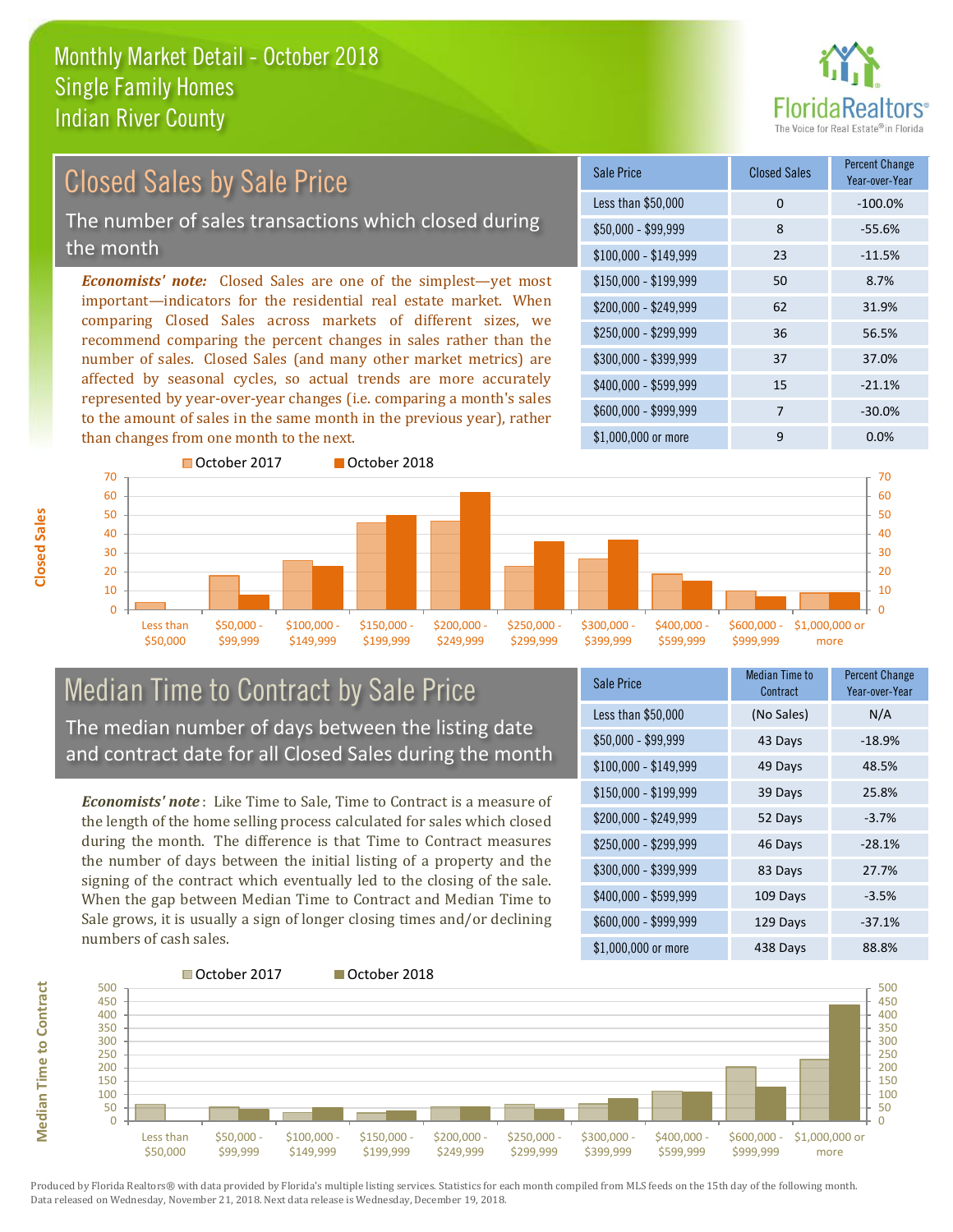

### Closed Sales by Sale Price

The number of sales transactions which closed during the month

*Economists' note:* Closed Sales are one of the simplest—yet most important—indicators for the residential real estate market. When comparing Closed Sales across markets of different sizes, we recommend comparing the percent changes in sales rather than the number of sales. Closed Sales (and many other market metrics) are affected by seasonal cycles, so actual trends are more accurately represented by year-over-year changes (i.e. comparing a month's sales to the amount of sales in the same month in the previous year), rather than changes from one month to the next.

| Sale Price            | <b>Closed Sales</b> | <b>Percent Change</b><br>Year-over-Year |
|-----------------------|---------------------|-----------------------------------------|
| Less than \$50,000    | 0                   | $-100.0%$                               |
| $$50,000 - $99,999$   | 8                   | $-55.6%$                                |
| $$100,000 - $149,999$ | 23                  | $-11.5%$                                |
| $$150,000 - $199,999$ | 50                  | 8.7%                                    |
| \$200,000 - \$249,999 | 62                  | 31.9%                                   |
| \$250,000 - \$299,999 | 36                  | 56.5%                                   |
| \$300,000 - \$399,999 | 37                  | 37.0%                                   |
| \$400,000 - \$599,999 | 15                  | $-21.1%$                                |
| \$600,000 - \$999,999 | 7                   | $-30.0%$                                |
| \$1,000,000 or more   | 9                   | 0.0%                                    |



#### Median Time to Contract by Sale Price The median number of days between the listing date and contract date for all Closed Sales during the month

*Economists' note* : Like Time to Sale, Time to Contract is a measure of the length of the home selling process calculated for sales which closed during the month. The difference is that Time to Contract measures the number of days between the initial listing of a property and the signing of the contract which eventually led to the closing of the sale. When the gap between Median Time to Contract and Median Time to Sale grows, it is usually a sign of longer closing times and/or declining numbers of cash sales.

| Sale Price            | <b>Median Time to</b><br>Contract | <b>Percent Change</b><br>Year-over-Year |
|-----------------------|-----------------------------------|-----------------------------------------|
| Less than \$50,000    | (No Sales)                        | N/A                                     |
| $$50,000 - $99,999$   | 43 Days                           | $-18.9%$                                |
| \$100,000 - \$149,999 | 49 Days                           | 48.5%                                   |
| $$150,000 - $199,999$ | 39 Days                           | 25.8%                                   |
| \$200,000 - \$249,999 | 52 Days                           | $-3.7%$                                 |
| \$250,000 - \$299,999 | 46 Days                           | $-28.1%$                                |
| \$300,000 - \$399,999 | 83 Days                           | 27.7%                                   |
| \$400,000 - \$599,999 | 109 Days                          | $-3.5%$                                 |
| \$600,000 - \$999,999 | 129 Days                          | $-37.1%$                                |
| \$1,000,000 or more   | 438 Days                          | 88.8%                                   |



Produced by Florida Realtors® with data provided by Florida's multiple listing services. Statistics for each month compiled from MLS feeds on the 15th day of the following month. Data released on Wednesday, November 21, 2018. Next data release is Wednesday, December 19, 2018.

**Median Time to Contract**

**Median Time to Contract**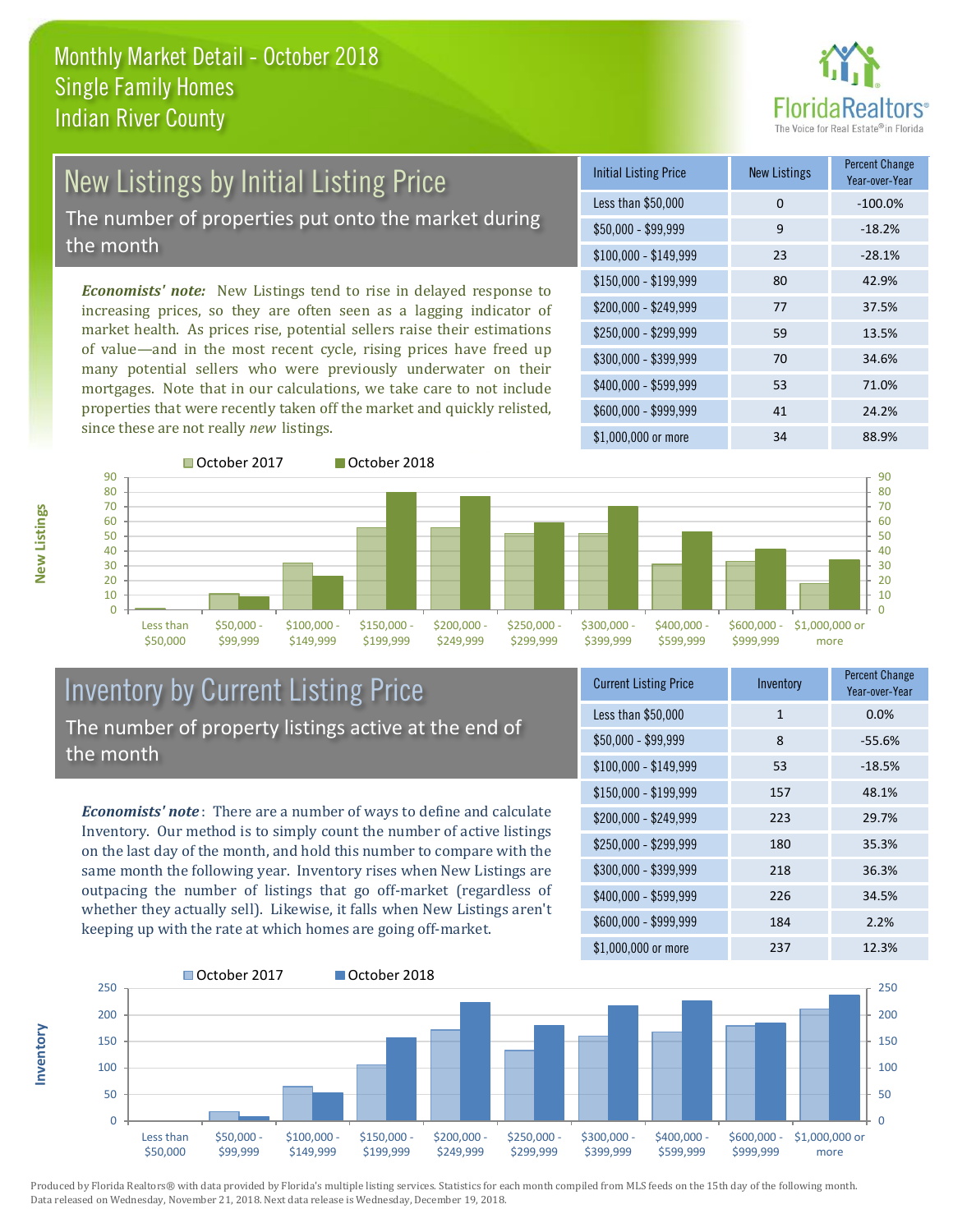

# New Listings by Initial Listing Price

The number of properties put onto the market during the month

*Economists' note:* New Listings tend to rise in delayed response to increasing prices, so they are often seen as a lagging indicator of market health. As prices rise, potential sellers raise their estimations of value—and in the most recent cycle, rising prices have freed up many potential sellers who were previously underwater on their mortgages. Note that in our calculations, we take care to not include properties that were recently taken off the market and quickly relisted, since these are not really *new* listings.





#### Inventory by Current Listing Price The number of property listings active at the end of the month

*Economists' note* : There are a number of ways to define and calculate Inventory. Our method is to simply count the number of active listings on the last day of the month, and hold this number to compare with the same month the following year. Inventory rises when New Listings are outpacing the number of listings that go off-market (regardless of whether they actually sell). Likewise, it falls when New Listings aren't keeping up with the rate at which homes are going off-market.

| <b>Current Listing Price</b> | Inventory    | <b>Percent Change</b><br>Year-over-Year |
|------------------------------|--------------|-----------------------------------------|
| Less than \$50,000           | $\mathbf{1}$ | 0.0%                                    |
| $$50,000 - $99,999$          | 8            | $-55.6%$                                |
| $$100,000 - $149,999$        | 53           | $-18.5%$                                |
| $$150,000 - $199,999$        | 157          | 48.1%                                   |
| \$200,000 - \$249,999        | 223          | 29.7%                                   |
| \$250,000 - \$299,999        | 180          | 35.3%                                   |
| \$300,000 - \$399,999        | 218          | 36.3%                                   |
| \$400,000 - \$599,999        | 226          | 34.5%                                   |
| \$600,000 - \$999,999        | 184          | 2.2%                                    |
| \$1,000,000 or more          | 237          | 12.3%                                   |



Produced by Florida Realtors® with data provided by Florida's multiple listing services. Statistics for each month compiled from MLS feeds on the 15th day of the following month. Data released on Wednesday, November 21, 2018. Next data release is Wednesday, December 19, 2018.

**Inventory**